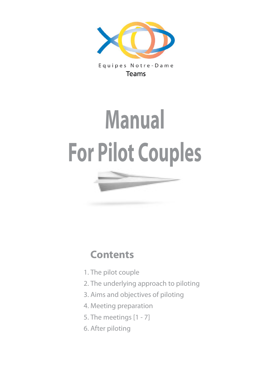

Equipes Notre-Dame **Teams** 

# **Manual For Pilot Couples**

## **Contents**

- 1. The pilot couple
- 2. The underlying approach to piloting
- 3. Aims and objectives of piloting
- 4. Meeting preparation
- 5. The meetings [1 7]
- 6. After piloting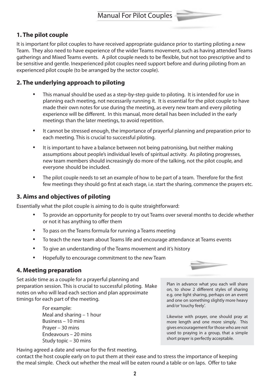## **1. The pilot couple**

It is important for pilot couples to have received appropriate guidance prior to starting piloting a new Team. They also need to have experience of the wider Teams movement, such as having attended Teams gatherings and Mixed Teams events. A pilot couple needs to be flexible, but not too prescriptive and to be sensitive and gentle. Inexperienced pilot couples need support before and during piloting from an experienced pilot couple (to be arranged by the sector couple).

## **2. The underlying approach to piloting**

- This manual should be used as a step-by-step guide to piloting. It is intended for use in planning each meeting, not necessarily running it. It is essential for the pilot couple to have made their own notes for use during the meeting, as every new team and every piloting experience will be different. In this manual, more detail has been included in the early meetings than the later meetings, to avoid repetition.
- It cannot be stressed enough, the importance of prayerful planning and preparation prior to each meeting. This is crucial to successful piloting.
- It is important to have a balance between not being patronising, but neither making assumptions about people's individual levels of spiritual activity. As piloting progresses, new team members should increasingly do more of the talking, not the pilot couple, and everyone should be included.
- The pilot couple needs to set an example of how to be part of a team. Therefore for the first few meetings they should go first at each stage, i.e. start the sharing, commence the prayers etc.

#### **3. Aims and objectives of piloting**

Essentially what the pilot couple is aiming to do is quite straightforward:

- To provide an opportunity for people to try out Teams over several months to decide whether or not it has anything to offer them
- • To pass on the Teams formula for running <sup>a</sup> Teams meeting
- To teach the new team about Teams life and encourage attendance at Teams events
- To give an understanding of the Teams movement and it's history
- • Hopefully to encourage commitment to the new Team

#### **4. Meeting preparation**

Set aside time as a couple for a prayerful planning and preparation session. This is crucial to successful piloting. Make notes on who will lead each section and plan approximate timings for each part of the meeting.

> For example: Meal and sharing – 1 hour Business – 10 mins Prayer – 30 mins Endeavours – 20 mins Study topic – 30 mins

Plan in advance what you each will share on, to show 2 different styles of sharing e.g. one light sharing, perhaps on an event and one on something slightly more heavy and/or'touchy feely'.

Likewise with prayer, one should pray at more length and one more simply. This gives encouragement for those who are not used to praying in a group, that a simple short prayer is perfectly acceptable.

Having agreed a date and venue for the first meeting,

contact the host couple early on to put them at their ease and to stress the importance of keeping the meal simple. Check out whether the meal will be eaten round a table or on laps. Offer to take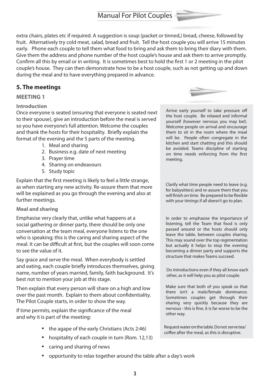extra chairs, plates etc if required. A suggestion is soup (packet or tinned,) bread, cheese, followed by fruit. Alternatively try cold meat, salad, bread and fruit. Tell the host couple you will arrive 15 minutes early. Phone each couple to tell them what food to bring and ask them to bring their diary with them. Give them the address and phone number of the host couple's house and ask them to arrive promptly. Confirm all this by email or in writing. It is sometimes best to hold the first 1 or 2 meeting in the pilot couple's house. They can then demonstrate how to be a host couple, such as not getting up and down during the meal and to have everything prepared in advance.

### **5. The meetings**

#### **MEETING 1**

#### **Introduction**

Once everyone is seated (ensuring that everyone is seated next to their spouse), give an introduction before the meal is served so you have everyone's full attention. Welcome the couples and thank the hosts for their hospitality. Briefly explain the format of the evening and the 5 parts of the meeting.

- 1. Meal and sharing
- 2. Business e.g. date of next meeting
- 3. Prayer time
- 4. Sharing on endeavours
- 5. Study topic

Explain that the first meeting is likely to feel a little strange, as when starting any new activity. Re-assure them that more will be explained as you go through the evening and also at further meetings.

#### **Meal and sharing**

Emphasise very clearly that, unlike what happens at a social gathering or dinner party, there should be only one conversation at the team meal, everyone listens to the one who is speaking; this is the caring and sharing aspect of the meal. It can be difficult at first, but the couples will soon come to see the value of it.

Say grace and serve the meal. When everybody is settled and eating, each couple briefly introduces themselves, giving name, number of years married, family, faith background. It's best not to mention your job at this stage.

Then explain that every person will share on a high and low over the past month. Explain to them about confidentiality. The Pilot Couple starts, in order to show the way.

If time permits, explain the significance of the meal and why it is part of the meeting:

- the agape of the early Christians (Acts 2:46)
- hospitality of each couple in turn (Rom. 12,13)
- caring and sharing of news
- opportunity to relax together around the table after <sup>a</sup> day's work



Arrive early yourself to take pressure off the host couple. Be relaxed and informal yourself (however nervous you may be!). Welcome people on arrival and encourage them to sit in the room where the meal will be. People often congregate in the kitchen and start chatting and this should be avoided. Teams discipline of starting on time needs enforcing from the first meeting.

Clarify what time people need to leave (e.g. for babysitters) and re-assure them that you will finish on time. Be prepared to be flexible with your timings if all doesn't go to plan.

In order to emphasise the importance of listening, tell the Team that food is only passed around or the hosts should only leave the table, between couples sharing. This may sound over the top regimentation but actually it helps to stop the evening becoming a dinner party and supports the structure that makes Teams succeed.

Do introductions even if they all know each other, as it will help you as pilot couple.

Make sure that both of you speak so that there isn't a male/female dominance. Sometimes couples get through their sharing very quickly because they are nervous - this is fine, it is far worse to be the other way.

Requestwateronthetable.Donot servetea/ coffee after the meal, as this is disruptive.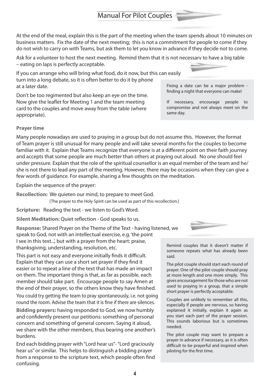At the end of the meal, explain this is the part of the meeting when the team spends about 10 minutes on business matters. Fix the date of the next meeting; this is not a commitment for people to come if they do not wish to carry on with Teams, but ask them to let you know in advance if they decide not to come.

Ask for a volunteer to host the next meeting. Remind them that it is not necessary to have a big table – eating on laps is perfectly acceptable.

If you can arrange who will bring what food, do it now, but this can easily turn into a long debate, so it is often better to do it by phone at a later date. Fixing a date can be a major problem finding a night that everyone can make!

Don't be too regimented but also keep an eye on the time. Now give the leaflet for Meeting 1 and the team meeting card to the couples and move away from the table (where appropriate).

#### **Prayer time**

Many people nowadays are used to praying in a group but do not assume this. However, the format of Team prayer is still unusual for many people and will take several months for the couples to become familiar with it. Explain that Teams recognize that everyone is at a different point on their faith journey and accepts that some people are much better than others at praying out aloud. No one should feel under pressure. Explain that the role of the spiritual counsellor is an equal member of the team and he/ she is not there to lead any part of the meeting. However, there may be occasions when they can give a few words of guidance. For example, sharing a few thoughts on the meditation.

Explain the sequence of the prayer:

**Recollection:** We quieten our mind, to prepare to meet God. [The prayer to the Holy Spirit can be used as part of this recollection.]

**Scripture:** Reading the text - we listen to God's Word.

**Silent Meditation:** Quiet reflection - God speaks to us.

**Response:** Shared Prayer on the Theme of the Text - having listened, we speak to God, not with an intellectual exercise, e.g. 'the point I see in this text...', but with a prayer from the heart: praise, thanksgiving, understanding, resolution, etc. Remind couples that it doesn't matter if

This part is not easy and everyone initially finds it difficult. Explain that they can use a short set prayer if they find it easier or to repeat a line of the text that has made an impact on them. The important thing is that, as far as possible, each member should take part. Encourage people to say Amen at the end of their prayer, so the others know they have finished.

You could try getting the team to pray spontaneously, i.e. not going round the room. Advise the team that it is fine if there are silences.

**Bidding prayers:** having responded to God, we now humbly and confidently present our petitions: something of personal concern and something of general concern. Saying it aloud, we share with the other members, thus bearing one another's burdens.

End each bidding prayer with"Lord hear us"-"Lord graciously hear us"or similar. This helps to distinguish a bidding prayer from a response to the scripture text, which people often find confusing.



The pilot couple should start each round of prayer. One of the pilot couple should pray at more length and one more simply. This gives encouragement for those who are not used to praying in a group, that a simple short prayer is perfectly acceptable.

Couples are unlikely to remember all this, especially if people are nervous, so having explained it initially, explain it again as you start each part of the prayer session. This sounds laborious but is sometimes needed.

The pilot couple may want to prepare a prayer in advance if necessary, as it is often difficult to be prayerful and inspired when piloting for the first time.



If necessary, encourage people to compromise and not always meet on the

same day.

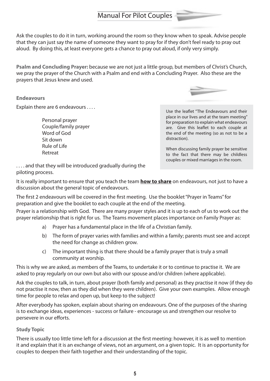Ask the couples to do it in turn, working around the room so they know when to speak. Advise people that they can just say the name of someone they want to pray for if they don't feel ready to pray out aloud. By doing this, at least everyone gets a chance to pray out aloud, if only very simply.

**Psalm and Concluding Prayer:** because we are not just a little group, but members of Christ's Church, we pray the prayer of the Church with a Psalm and end with a Concluding Prayer. Also these are the prayers that Jesus knew and used.

**Endeavours**

Explain there are 6 endeavours . . . .

 Personal prayer Couple/family prayer Word of God Sit down Rule of Life Retreat



Use the leaflet "The Endeavours and their place in our lives and at the team meeting" for preparation to explain what endeavours are. Give this leaflet to each couple at the end of the meeting (so as not to be a distraction).

When discussing family prayer be sensitive to the fact that there may be childless couples or mixed marriages in the room.

... and that they will be introduced gradually during the piloting process.

It is really important to ensure that you teach the team **how to share** on endeavours, not just to have a discussion about the general topic of endeavours.

The first 2 endeavours will be covered in the first meeting. Use the booklet"Prayer in Teams"for preparation and give the booklet to each couple at the end of the meeting.

Prayer is a relationship with God. There are many prayer styles and it is up to each of us to work out the prayer relationship that is right for us. The Teams movement places importance on Family Prayer as:

- a) Prayer has a fundamental place in the life of a Christian family.
- b) The form of prayer varies with families and within a family; parents must see and accept the need for change as children grow.
- c) The important thing is that there should be a family prayer that is truly a small community at worship.

This is why we are asked, as members of the Teams, to undertake it or to continue to practise it. We are asked to pray regularly on our own but also with our spouse and/or children (where applicable).

Ask the couples to talk, in turn, about prayer (both family and personal) as they practise it now (if they do not practise it now, then as they did when they were children). Give your own examples. Allow enough time for people to relax and open up, but keep to the subject!

After everybody has spoken, explain about sharing on endeavours. One of the purposes of the sharing is to exchange ideas, experiences - success or failure - encourage us and strengthen our resolve to persevere in our efforts.

#### **Study Topic**

There is usually too little time left for a discussion at the first meeting: however, it is as well to mention it and explain that it is an exchange of views, not an argument, on a given topic. It is an opportunity for couples to deepen their faith together and their understanding of the topic.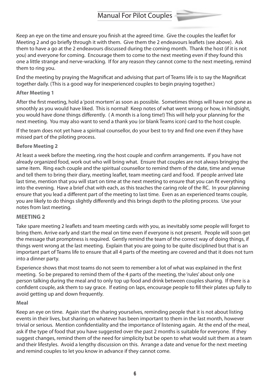Keep an eye on the time and ensure you finish at the agreed time. Give the couples the leaflet for Meeting 2 and go briefly through it with them. Give them the 2 endeavours leaflets (see above). Ask them to have a go at the 2 endeavours discussed during the coming month. Thank the host (if it is not you) and everyone for coming. Encourage them to come to the next meeting even if they found this one a little strange and nerve-wracking. If for any reason they cannot come to the next meeting, remind them to ring you.

End the meeting by praying the Magnificat and advising that part of Teams life is to say the Magnificat together daily. (This is a good way for inexperienced couples to begin praying together.)

#### **After Meeting 1**

After the first meeting, hold a 'post mortem' as soon as possible. Sometimes things will have not gone as smoothly as you would have liked. This is normal! Keep notes of what went wrong or how, in hindsight, you would have done things differently. ( A month is a long time!) This will help your planning for the next meeting. You may also want to send a thank you (or blank Teams icon) card to the host couple.

If the team does not yet have a spiritual counsellor, do your best to try and find one even if they have missed part of the piloting process.

#### **Before Meeting 2**

At least a week before the meeting, ring the host couple and confirm arrangements. If you have not already organized food, work out who will bring what. Ensure that couples are not always bringing the same item. Ring each couple and the spiritual counsellor to remind them of the date, time and venue and tell them to bring their diary, meeting leaflet, team meeting card and food. If people arrived late last time, mention that you will start on time at the next meeting to ensure that you can fit everything into the evening. Have a brief chat with each, as this teaches the caring role of the RC. In your planning ensure that you lead a different part of the meeting to last time. Even as an experienced teams couple, you are likely to do things slightly differently and this brings depth to the piloting process. Use your notes from last meeting.

#### **MEETING 2**

Take spare meeting 2 leaflets and team meeting cards with you, as inevitably some people will forget to bring them. Arrive early and start the meal on time even if everyone is not present. People will soon get the message that promptness is required. Gently remind the team of the correct way of doing things, if things went wrong at the last meeting. Explain that you are going to be quite disciplined but that is an important part of Teams life to ensure that all 4 parts of the meeting are covered and that it does not turn into a dinner party.

Experience shows that most teams do not seem to remember a lot of what was explained in the first meeting. So be prepared to remind them of the 4 parts of the meeting, the 'rules' about only one person talking during the meal and to only top up food and drink between couples sharing. If there is a confident couple, ask them to say grace. If eating on laps, encourage people to fill their plates up fully to avoid getting up and down frequently.

#### **Meal**

Keep an eye on time. Again start the sharing yourselves, reminding people that it is not about listing events in their lives, but sharing on whatever has been important to them in the last month, however trivial or serious. Mention confidentiality and the importance of listening again. At the end of the meal, ask if the type of food that you have suggested over the past 2 months is suitable for everyone. If they suggest changes, remind them of the need for simplicity but be open to what would suit them as a team and their lifestyles. Avoid a lengthy discussion on this. Arrange a date and venue for the next meeting and remind couples to let you know in advance if they cannot come.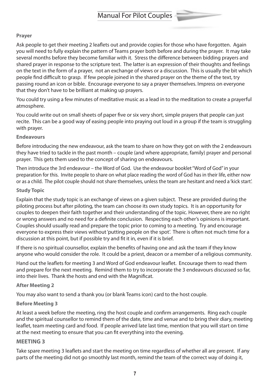#### **Prayer**

Ask people to get their meeting 2 leaflets out and provide copies for those who have forgotten. Again you will need to fully explain the pattern of Teams prayer both before and during the prayer. It may take several months before they become familiar with it. Stress the difference between bidding prayers and shared prayer in response to the scripture text. The latter is an expression of their thoughts and feelings on the text in the form of a prayer, not an exchange of views or a discussion. This is usually the bit which people find difficult to grasp. If few people joined in the shared prayer on the theme of the text, try passing round an icon or bible. Encourage everyone to say a prayer themselves. Impress on everyone that they don't have to be brilliant at making up prayers.

You could try using a few minutes of meditative music as a lead in to the meditation to create a prayerful atmosphere.

You could write out on small sheets of paper five or six very short, simple prayers that people can just recite. This can be a good way of easing people into praying out loud in a group if the team is struggling with prayer.

#### **Endeavours**

Before introducing the new endeavour, ask the team to share on how they got on with the 2 endeavours they have tried to tackle in the past month – couple (and where appropriate, family) prayer and personal prayer. This gets them used to the concept of sharing on endeavours.

Then introduce the 3rd endeavour – the Word of God. Use the endeavour booklet"Word of God"in your preparation for this. Invite people to share on what place reading the word of God has in their life, either now or as a child. The pilot couple should not share themselves, unless the team are hesitant and need a 'kick start'.

#### **Study Topic**

Explain that the study topic is an exchange of views on a given subject. These are provided during the piloting process but after piloting, the team can choose its own study topics. It is an opportunity for couples to deepen their faith together and their understanding of the topic. However, there are no right or wrong answers and no need for a definite conclusion. Respecting each other's opinions is important. Couples should usually read and prepare the topic prior to coming to a meeting. Try and encourage everyone to express their views without'putting people on the spot'. There is often not much time for a discussion at this point, but if possible try and fit it in, even if it is brief.

If there is no spiritual counsellor, explain the benefits of having one and ask the team if they know anyone who would consider the role. It could be a priest, deacon or a member of a religious community.

Hand out the leaflets for meeting 3 and Word of God endeavour leaflet. Encourage them to read them and prepare for the next meeting. Remind them to try to incorporate the 3 endeavours discussed so far, into their lives. Thank the hosts and end with the Magnificat.

#### **After Meeting 2**

You may also want to send a thank you (or blank Teams icon) card to the host couple.

#### **Before Meeting 3**

At least a week before the meeting, ring the host couple and confirm arrangements. Ring each couple and the spiritual counsellor to remind them of the date, time and venue and to bring their diary, meeting leaflet, team meeting card and food. If people arrived late last time, mention that you will start on time at the next meeting to ensure that you can fit everything into the evening.

#### **MEETING 3**

Take spare meeting 3 leaflets and start the meeting on time regardless of whether all are present. If any parts of the meeting did not go smoothly last month, remind the team of the correct way of doing it,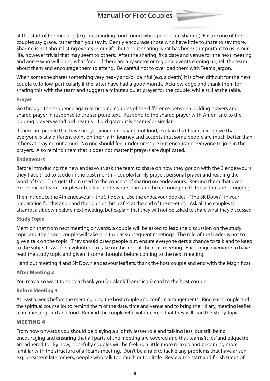at the start of the meeting (e.g. not handing food round while people are sharing). Ensure one of the couples say grace, rather than you say it. Gently encourage those who have little to share to say more. Sharing is not about listing events in our life, but about sharing what has been/is important to us in our life, however trivial that may seem to others. After the sharing, fix a date and venue for the next meeting and agree who will bring what food. If there are any sector or regional events coming up, tell the team about them and encourage them to attend. Be careful not to overload them with Teams jargon.

When someone shares something very heavy and/or painful (e.g. a death) it is often difficult for the next couple to follow, particularly if the latter have had a good month. Acknowledge and thank them for sharing this with the team and suggest a minute's quiet prayer for the couple, while still at the table.

#### **Prayer**

Go through the sequence again reminding couples of the difference between bidding prayers and shared prayer in response to the scripture text. Respond to the shared prayer with'Amen' and to the bidding prayers with'Lord hear us – Lord graciously hear us'or similar.

If there are people that have not yet joined in praying out loud, explain that Teams recognize that everyone is at a different point on their faith journey and accepts that some people are much better than others at praying out aloud. No one should feel under pressure but encourage everyone to join in the prayers. Also remind them that it does not matter if prayers are duplicated.

#### **Endeavours**

Before introducing the new endeavour, ask the team to share on how they got on with the 3 endeavours they have tried to tackle in the past month – couple/family prayer, personal prayer and reading the word of God. This gets them used to the concept of sharing on endeavours. Remind them that even experienced teams couples often find endeavours hard and be encouraging to those that are struggling.

Then introduce the 4th endeavour – the Sit down. Use the endeavour booklet – 'The Sit Down'- in your preparation for this and hand the couples this leaflet at the end of the meeting. Ask all the couples to attempt a sit down before next meeting, but explain that they will not be asked to share what they discussed.

#### **Study Topic**

Mention that from next meeting onwards, a couple will be asked to lead the discussion on the study topic and then each couple will take it in turn at subsequent meetings. The role of the leader is not to give a talk on the topic. They should draw people out, ensure everyone gets a chance to talk and to keep to the subject. Ask for a volunteer to take on this role at the next meeting. Encourage everyone to have read the study topic and given it some thought before coming to the next meeting.

Hand out meeting 4 and Sit Down endeavour leaflets, thank the host couple and end with the Magnificat.

#### **After Meeting 3**

You may also want to send a thank you (or blank Teams icon) card to the host couple.

#### **Before Meeting 4**

At least a week before the meeting, ring the host couple and confirm arrangements. Ring each couple and the spiritual counsellor to remind them of the date, time and venue and to bring their diary, meeting leaflet, team meeting card and food. Remind the couple who volunteered, that they will lead the Study Topic.

#### **MEETING 4**

From now onwards you should be playing a slightly lesser role and talking less, but still being encouraging and ensuring that all parts of the meeting are covered and that teams'rules' and etiquette are adhered to. By now, hopefully couples will be feeling a little more relaxed and becoming more familiar with the structure of a Teams meeting. Don't be afraid to tackle any problems that have arisen e.g. persistent latecomers, people who talk too much or too little. Review the start and finish times of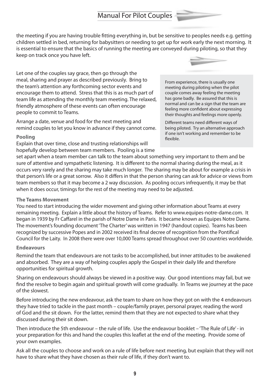the meeting if you are having trouble fitting everything in, but be sensitive to peoples needs e.g. getting children settled in bed, returning for babysitters or needing to get up for work early the next morning. It is essential to ensure that the basics of running the meeting are conveyed during piloting, so that they keep on track once you have left.

Let one of the couples say grace, then go through the meal, sharing and prayer as described previously. Bring to the team's attention any forthcoming sector events and encourage them to attend. Stress that this is as much part of team life as attending the monthly team meeting. The relaxed, friendly atmosphere of these events can often encourage people to commit to Teams.

Arrange a date, venue and food for the next meeting and remind couples to let you know in advance if they cannot come.

#### **Pooling**

Explain that over time, close and trusting relationships will hopefully develop between team members. Pooling is a time



From experience, there is usually one meeting during piloting when the pilot couple comes away feeling the meeting has gone badly. Be assured that this is normal and can be a sign that the team are feeling more confident about expressing their thoughts and feelings more openly.

Different teams need different ways of being piloted. Try an alternative approach if one isn't working and remember to be flexible.

set apart when a team member can talk to the team about something very important to them and be sure of attentive and sympathetic listening. It is different to the normal sharing during the meal, as it occurs very rarely and the sharing may take much longer. The sharing may be about for example a crisis in that person's life or a great sorrow. Also it differs in that the person sharing can ask for advice or views from team members so that it may become a 2 way discussion. As pooling occurs infrequently, it may be that when it does occur, timings for the rest of the meeting may need to be adjusted.

#### **The Teams Movement**

You need to start introducing the wider movement and giving other information about Teams at every remaining meeting. Explain a little about the history of Teams. Refer to www.equipes-notre-dame.com. It began in 1939 by Fr Caffarel in the parish of Notre Dame in Paris. It became known as Equipes Notre Dame. The movement's founding document'The Charter'was written in 1947 (handout copies). Teams has been recognized by successive Popes and in 2002 received its final decree of recognition from the Pontifical Council for the Laity. In 2008 there were over 10,000 Teams spread throughout over 50 countries worldwide.

#### **Endeavours**

Remind the team that endeavours are not tasks to be accomplished, but inner attitudes to be awakened and absorbed. They are a way of helping couples apply the Gospel in their daily life and therefore opportunities for spiritual growth.

Sharing on endeavours should always be viewed in a positive way. Our good intentions may fail, but we find the resolve to begin again and spiritual growth will come gradually. In Teams we journey at the pace of the slowest.

Before introducing the new endeavour, ask the team to share on how they got on with the 4 endeavours they have tried to tackle in the past month – couple/family prayer, personal prayer, reading the word of God and the sit down. For the latter, remind them that they are not expected to share what they discussed during their sit down.

Then introduce the 5th endeavour – the rule of life. Use the endeavour booklet – 'The Rule of Life'- in your preparation for this and hand the couples this leaflet at the end of the meeting. Provide some of your own examples.

Ask all the couples to choose and work on a rule of life before next meeting, but explain that they will not have to share what they have chosen as their rule of life, if they don't want to.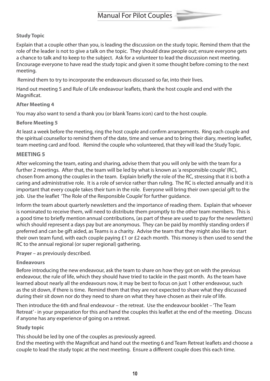#### **Study Topic**

Explain that a couple other than you, is leading the discussion on the study topic. Remind them that the role of the leader is not to give a talk on the topic. They should draw people out; ensure everyone gets a chance to talk and to keep to the subject. Ask for a volunteer to lead the discussion next meeting. Encourage everyone to have read the study topic and given it some thought before coming to the next meeting.

Remind them to try to incorporate the endeavours discussed so far, into their lives.

Hand out meeting 5 and Rule of Life endeavour leaflets, thank the host couple and end with the Magnificat.

#### **After Meeting 4**

You may also want to send a thank you (or blank Teams icon) card to the host couple.

#### **Before Meeting 5**

At least a week before the meeting, ring the host couple and confirm arrangements. Ring each couple and the spiritual counsellor to remind them of the date, time and venue and to bring their diary, meeting leaflet, team meeting card and food. Remind the couple who volunteered, that they will lead the Study Topic.

#### **MEETING 5**

After welcoming the team, eating and sharing, advise them that you will only be with the team for a further 2 meetings. After that, the team will be led by what is known as'a responsible couple'(RC), chosen from among the couples in the team. Explain briefly the role of the RC, stressing that it is both a caring and administrative role. It is a role of service rather than ruling. The RC is elected annually and it is important that every couple takes their turn in the role. Everyone will bring their own special gift to the job. Use the leaflet 'The Role of the Responsible Couple'for further guidance.

Inform the team about quarterly newsletters and the importance of reading them. Explain that whoever is nominated to receive them, will need to distribute them promptly to the other team members. This is a good time to briefly mention annual contributions, (as part of these are used to pay for the newsletters) which should represent a days pay but are anonymous. They can be paid by monthly standing orders if preferred and can be gift aided, as Teams is a charity. Advise the team that they might also like to start their own team fund, with each couple paying £1 or £2 each month. This money is then used to send the RC to the annual regional (or super regional) gathering.

#### **Prayer** – as previously described.

#### **Endeavours**

Before introducing the new endeavour, ask the team to share on how they got on with the previous endeavour, the rule of life, which they should have tried to tackle in the past month. As the team have learned about nearly all the endeavours now, it may be best to focus on just 1 other endeavour, such as the sit down, if there is time. Remind them that they are not expected to share what they discussed during their sit down nor do they need to share on what they have chosen as their rule of life.

Then introduce the 6th and final endeavour – the retreat. Use the endeavour booklet – 'The Team Retreat'- in your preparation for this and hand the couples this leaflet at the end of the meeting. Discuss if anyone has any experience of going on a retreat.

#### **Study topic**

This should be led by one of the couples as previously agreed.

End the meeting with the Magnificat and hand out the meeting 6 and Team Retreat leaflets and choose a couple to lead the study topic at the next meeting. Ensure a different couple does this each time.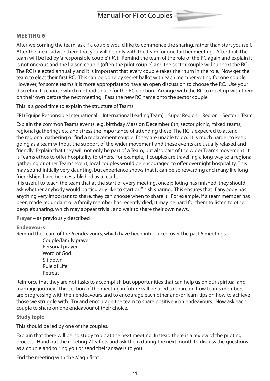#### **MEETING 6**

After welcoming the team, ask if a couple would like to commence the sharing, rather than start yourself. After the meal, advise them that you will be only with the team for one further meeting. After that, the team will be led by 'a responsible couple'(RC). Remind the team of the role of the RC again and explain it is not onerous and the liaison couple (often the pilot couple) and the sector couple will support the RC. The RC is elected annually and it is important that every couple takes their turn in the role. Now get the team to elect their first RC. This can be done by secret ballot with each member voting for one couple. However, for some teams it is more appropriate to have an open discussion to choose the RC. Use your discretion to choose which method to use for the RC election. Arrange with the RC to meet up with them on their own before the next meeting. Pass the new RC name onto the sector couple.

This is a good time to explain the structure of Teams:

ERI (Equipe Responsible International = International Leading Team) – Super Region – Region – Sector – Team

Explain the common Teams events: e.g. birthday Mass on December 8th, sector picnic, mixed teams, regional gatherings etc and stress the importance of attending these. The RC is expecred to attend the regional gathering or find a replacement couple if they are unable to go. It is much harder to keep going as a team without the support of the wider movement and these events are usually relaxed and friendly. Explain that they will not only be part of a Team, but also part of the wider Team's movement. It is Teams ethos to offer hospitality to others. For example, if couples are travelling a long way to a regional gathering or other Teams event, local couples would be encouraged to offer overnight hospitality. This may sound initially very daunting, but experience shows that it can be so rewarding and many life long friendships have been established as a result.

It is useful to teach the team that at the start of every meeting, once piloting has finished, they should ask whether anybody would particularly like to start or finish sharing. This ensures that if anybody has anything very important to share, they can choose when to share it. For example, if a team member has been made redundant or a family member has recently died, it may be hard for them to listen to other people's sharing, which may appear trivial, and wait to share their own news.

**Prayer** – as previously described

#### **Endeavours**

Remind the Team of the 6 endeavours, which have been introduced over the past 5 meetings.

 Couple/family prayer Personal prayer Word of God Sit down Rule of Life Retreat

Reinforce that they are not tasks to accomplish but opportunities that can help us on our spiritual and marriage journey. This section of the meeting in future will be used to share on how teams members are progressing with their endeavours and to encourage each other and/or learn tips on how to achieve those we struggle with. Try and encourage the team to share positively on endeavours. Now ask each couple to share on one endeavour of their choice.

**Study topic**

This should be led by one of the couples.

Explain that there will be no study topic at the next meeting. Instead there is a review of the piloting process. Hand out the meeting 7 leaflets and ask them during the next month to discuss the questions as a couple and to ring you or send their answers to you.

End the meeting with the Magnificat.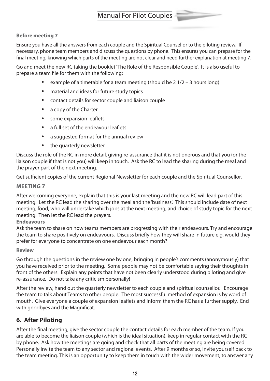#### **Before meeting 7**

Ensure you have all the answers from each couple and the Spiritual Counsellor to the piloting review. If necessary, phone team members and discuss the questions by phone. This ensures you can prepare for the final meeting, knowing which parts of the meeting are not clear and need further explanation at meeting 7.

Go and meet the new RC taking the booklet'The Role of the Responsible Couple'. It is also useful to prepare a team file for them with the following:

- example of a timetable for a team meeting (should be  $2 \frac{1}{2} 3$  hours long)
- material and ideas for future study topics
- contact details for sector couple and liaison couple
- a copy of the Charter
- some expansion leaflets
- a full set of the endeavour leaflets
- a suggested format for the annual review
- the quarterly newsletter

Discuss the role of the RC in more detail, giving re-assurance that it is not onerous and that you (or the liaison couple if that is not you) will keep in touch. Ask the RC to lead the sharing during the meal and the prayer part of the next meeting.

Get sufficient copies of the current Regional Newsletter for each couple and the Spiritual Counsellor.

#### **MEETING 7**

After welcoming everyone, explain that this is your last meeting and the new RC will lead part of this meeting. Let the RC lead the sharing over the meal and the 'business'. This should include date of next meeting, food, who will undertake which jobs at the next meeting, and choice of study topic for the next meeting. Then let the RC lead the prayers.

**Endeavours**

Ask the team to share on how teams members are progressing with their endeavours. Try and encourage the team to share positively on endeavours. Discuss briefly how they will share in future e.g. would they prefer for everyone to concentrate on one endeavour each month?

#### **Review**

Go through the questions in the review one by one, bringing in people's comments (anonymously) that you have received prior to the meeting. Some people may not be comfortable saying their thoughts in front of the others. Explain any points that have not been clearly understood during piloting and give re-assurance. Do not take any criticism personally!

After the review, hand out the quarterly newsletter to each couple and spiritual counsellor. Encourage the team to talk about Teams to other people. The most successful method of expansion is by word of mouth. Give everyone a couple of expansion leaflets and inform them the RC has a further supply. End with goodbyes and the Magnificat.

#### **6. After Piloting**

After the final meeting, give the sector couple the contact details for each member of the team. If you are able to become the liaison couple (which is the ideal situation), keep in regular contact with the RC by phone. Ask how the meetings are going and check that all parts of the meeting are being covered. Personally invite the team to any sector and regional events. After 9 months or so, invite yourself back to the team meeting. This is an opportunity to keep them in touch with the wider movement, to answer any